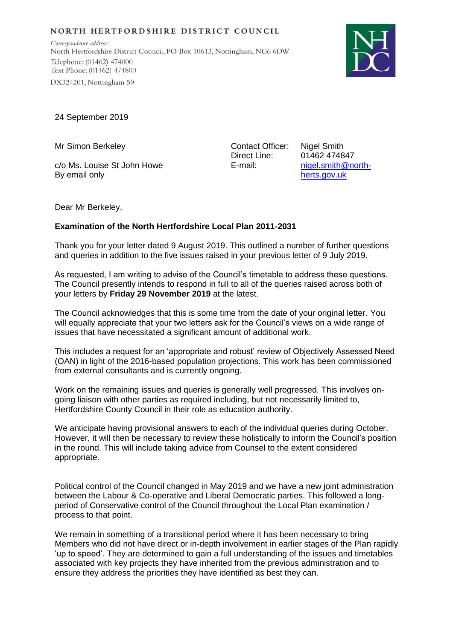## NORTH HERTFORDSHIRE DISTRICT COUNCIL

Correspondence address: North Hertfordshire District Council, PO Box 10613, Nottingham, NG6 6DW Telephone: (01462) 474000 Text Phone: (01462) 474800 DX324201, Nottingham 59



24 September 2019

Mr Simon Berkeley

c/o Ms. Louise St John Howe By email only

Contact Officer: Direct Line: E-mail:

Nigel Smith 01462 474847 [nigel.smith@north](mailto:nigel.smith@north-herts.gov.uk)[herts.gov.uk](mailto:nigel.smith@north-herts.gov.uk)

Dear Mr Berkeley,

## **Examination of the North Hertfordshire Local Plan 2011-2031**

Thank you for your letter dated 9 August 2019. This outlined a number of further questions and queries in addition to the five issues raised in your previous letter of 9 July 2019.

As requested, I am writing to advise of the Council's timetable to address these questions. The Council presently intends to respond in full to all of the queries raised across both of your letters by **Friday 29 November 2019** at the latest.

The Council acknowledges that this is some time from the date of your original letter. You will equally appreciate that your two letters ask for the Council's views on a wide range of issues that have necessitated a significant amount of additional work.

This includes a request for an 'appropriate and robust' review of Objectively Assessed Need (OAN) in light of the 2016-based population projections. This work has been commissioned from external consultants and is currently ongoing.

Work on the remaining issues and queries is generally well progressed. This involves ongoing liaison with other parties as required including, but not necessarily limited to, Hertfordshire County Council in their role as education authority.

We anticipate having provisional answers to each of the individual queries during October. However, it will then be necessary to review these holistically to inform the Council's position in the round. This will include taking advice from Counsel to the extent considered appropriate.

Political control of the Council changed in May 2019 and we have a new joint administration between the Labour & Co-operative and Liberal Democratic parties. This followed a longperiod of Conservative control of the Council throughout the Local Plan examination / process to that point.

We remain in something of a transitional period where it has been necessary to bring Members who did not have direct or in-depth involvement in earlier stages of the Plan rapidly 'up to speed'. They are determined to gain a full understanding of the issues and timetables associated with key projects they have inherited from the previous administration and to ensure they address the priorities they have identified as best they can.